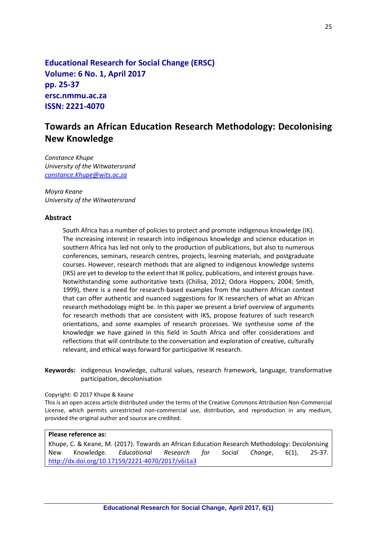**Educational Research for Social Change (ERSC) Volume: 6 No. 1, April 2017 pp. 25-37 ersc.nmmu.ac.za ISSN: 2221-4070**

# **Towards an African Education Research Methodology: Decolonising New Knowledge**

*Constance Khupe The University of the Witwatersrand [constance.Khupe@wits.ac.za](mailto:constance.Khupe@wits.ac.za)*

*Moyra Keane The University of the Witwatersrand* 

#### **Abstract**

South Africa has a number of policies to protect and promote indigenous knowledge (IK). The increasing interest in research into indigenous knowledge and science education in southern Africa has led not only to the production of publications, but also to numerous conferences, seminars, research centres, projects, learning materials, and postgraduate courses. However, research methods that are aligned to indigenous knowledge systems (IKS) are yet to develop to the extent that IK policy, publications, and interest groups have. Notwithstanding some authoritative texts (Chilisa, 2012; Odora Hoppers, 2004; Smith, 1999), there is a need for research-based examples from the southern African context that can offer authentic and nuanced suggestions for IK researchers of what an African research methodology might be. In this paper we present a brief overview of arguments for research methods that are consistent with IKS, propose features of such research orientations, and some examples of research processes. We synthesise some of the knowledge we have gained in this field in South Africa and offer considerations and reflections that will contribute to the conversation and exploration of creative, culturally relevant, and ethical ways forward for participative IK research.

**Keywords:** indigenous knowledge, cultural values, research framework, language, transformative participation, decolonisation

#### Copyright: © 2017 Khupe & Keane

This is an open access article distributed under the terms of the Creative Commons Attribution Non-Commercial License, which permits unrestricted non-commercial use, distribution, and reproduction in any medium, provided the original author and source are credited.

#### **Please reference as:**

Khupe, C. & Keane, M. (2017). Towards an African Education Research Methodology: Decolonising New Knowledge. *Educational Research for Social Change*, 6(1), 25-37. <http://dx.doi.org/10.17159/2221-4070/2017/v6i1a3>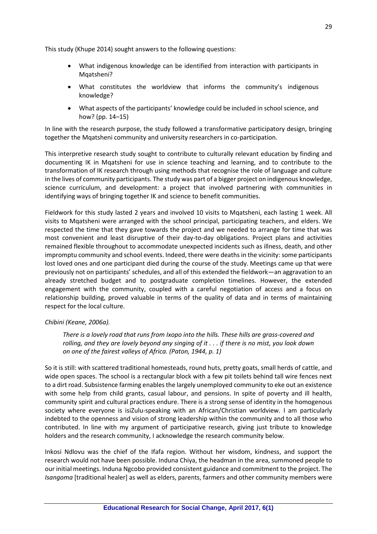This study (Khupe 2014) sought answers to the following questions:

What indigenous knowledge can be identified from interaction with participants in Mqatsheni?

What constitutes the worldview that informs the community's indigenous knowledge?

What aspects of the participants' knowledge could be included in school science, and how? (pp. 14–15)

In line with the research purpose, the study followed a transformative participatory design, bringing together the Mqatsheni community and university researchers in co-participation.

This interpretive research study sought to contribute to culturally relevant education by finding and documenting IK in Mqatsheni for use in science teaching and learning, and to contribute to the transformation of IK research through using methods that recognise the role of language and culture in the lives of community participants. The study was part of a bigger project on indigenous knowledge, science curriculum, and development: a project that involved partnering with communities in identifying ways of bringing together IK and science to benefit communities.

Fieldwork for this study lasted 2 years and involved 10 visits to Mqatsheni, each lasting 1 week. All visits to Mqatsheni were arranged with the school principal, participating teachers, and elders. We respected the time that they gave towards the project and we needed to arrange for time that was most convenient and least disruptive of their day-to-day obligations. Project plans and activities remained flexible throughout to accommodate unexpected incidents such as illness, death, and other impromptu community and school events. Indeed, there were deaths in the vicinity: some participants lost loved ones and one participant died during the course of the study. Meetings came up that were previously not on participants' schedules, and all of this extended the fieldwork—an aggravation to an already stretched budget and to postgraduate completion timelines. However, the extended engagement with the community, coupled with a careful negotiation of access and a focus on relationship building, proved valuable in terms of the quality of data and in terms of maintaining respect for the local culture.

#### *Chibini (Keane, 2006a).*

*There is a lovely road that runs from Ixopo into the hills. These hills are grass-covered and rolling, and they are lovely beyond any singing of it . . . if there is no mist, you look down on one of the fairest valleys of Africa. (Paton, 1944, p. 1)*

So it is still: with scattered traditional homesteads, round huts, pretty goats, small herds of cattle, and wide open spaces. The school is a rectangular block with a few pit toilets behind tall wire fences next to a dirt road. Subsistence farming enables the largely unemployed community to eke out an existence with some help from child grants, casual labour, and pensions. In spite of poverty and ill health, community spirit and cultural practices endure. There is a strong sense of identity in the homogenous society where everyone is isiZulu-speaking with an African/Christian worldview. I am particularly indebted to the openness and vision of strong leadership within the community and to all those who contributed. In line with my argument of participative research, giving just tribute to knowledge holders and the research community, I acknowledge the research community below.

Inkosi Ndlovu was the chief of the Ifafa region. Without her wisdom, kindness, and support the research would not have been possible. Induna Chiya, the headman in the area, summoned people to our initial meetings. Induna Ngcobo provided consistent guidance and commitment to the project. The *Isangoma* [traditional healer] as well as elders, parents, farmers and other community members were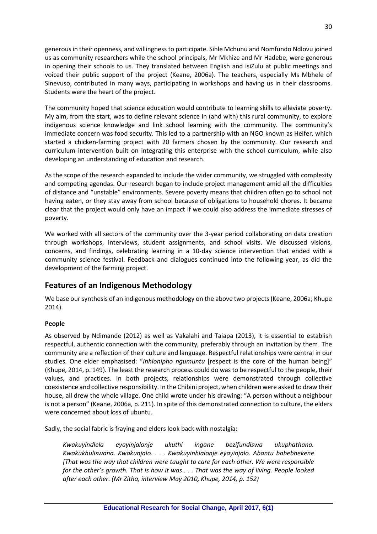generous in their openness, and willingness to participate. Sihle Mchunu and Nomfundo Ndlovu joined us as community researchers while the school principals, Mr Mkhize and Mr Hadebe, were generous in opening their schools to us. They translated between English and isiZulu at public meetings and voiced their public support of the project (Keane, 2006a). The teachers, especially Ms Mbhele of Sinevuso, contributed in many ways, participating in workshops and having us in their classrooms. Students were the heart of the project.

The community hoped that science education would contribute to learning skills to alleviate poverty. My aim, from the start, was to define relevant science in (and with) this rural community, to explore indigenous science knowledge and link school learning with the community. The community's immediate concern was food security. This led to a partnership with an NGO known as Heifer, which started a chicken-farming project with 20 farmers chosen by the community. Our research and curriculum intervention built on integrating this enterprise with the school curriculum, while also developing an understanding of education and research.

As the scope of the research expanded to include the wider community, we struggled with complexity and competing agendas. Our research began to include project management amid all the difficulties of distance and "unstable" environments. Severe poverty means that children often go to school not having eaten, or they stay away from school because of obligations to household chores. It became clear that the project would only have an impact if we could also address the immediate stresses of poverty.

We worked with all sectors of the community over the 3-year period collaborating on data creation through workshops, interviews, student assignments, and school visits. We discussed visions, concerns, and findings, celebrating learning in a 10-day science intervention that ended with a community science festival. Feedback and dialogues continued into the following year, as did the development of the farming project.

# **Features of an Indigenous Methodology**

We base our synthesis of an indigenous methodology on the above two projects(Keane, 2006a; Khupe 2014).

### **People**

As observed by Ndimande (2012) as well as Vakalahi and Taiapa (2013), it is essential to establish respectful, authentic connection with the community, preferably through an invitation by them. The community are a reflection of their culture and language. Respectful relationships were central in our studies. One elder emphasised: "*Inhlonipho ngumuntu* [respect is the core of the human being]" (Khupe, 2014, p. 149). The least the research process could do was to be respectful to the people, their values, and practices. In both projects, relationships were demonstrated through collective coexistence and collective responsibility. In the Chibini project, when children were asked to draw their house, all drew the whole village. One child wrote under his drawing: "A person without a neighbour is not a person" (Keane, 2006a, p. 211). In spite of this demonstrated connection to culture, the elders were concerned about loss of ubuntu.

Sadly, the social fabric is fraying and elders look back with nostalgia:

*Kwakuyindlela eyayinjalonje ukuthi ingane bezifundiswa ukuphathana. Kwakukhuliswana. Kwakunjalo. . . . Kwakuyinhlalonje eyayinjalo. Abantu babebhekene [That was the way that children were taught to care for each other. We were responsible for the other's growth. That is how it was . . . That was the way of living. People looked after each other. (Mr Zitha, interview May 2010, Khupe, 2014, p. 152)*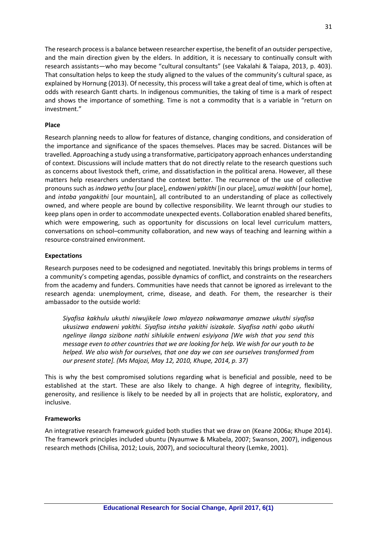The research process is a balance between researcher expertise, the benefit of an outsider perspective, and the main direction given by the elders. In addition, it is necessary to continually consult with research assistants—who may become "cultural consultants" (see Vakalahi & Taiapa, 2013, p. 403). That consultation helps to keep the study aligned to the values of the community's cultural space, as explained by Hornung (2013). Of necessity, this process will take a great deal of time, which is often at odds with research Gantt charts. In indigenous communities, the taking of time is a mark of respect and shows the importance of something. Time is not a commodity that is a variable in "return on investment."

#### **Place**

Research planning needs to allow for features of distance, changing conditions, and consideration of the importance and significance of the spaces themselves. Places may be sacred. Distances will be travelled. Approaching a study using a transformative, participatory approach enhances understanding of context. Discussions will include matters that do not directly relate to the research questions such as concerns about livestock theft, crime, and dissatisfaction in the political arena. However, all these matters help researchers understand the context better. The recurrence of the use of collective pronouns such as *indawo yethu* [our place], *endaweni yakithi* [in our place], *umuzi wakithi* [our home], and *intaba yangakithi* [our mountain], all contributed to an understanding of place as collectively owned, and where people are bound by collective responsibility. We learnt through our studies to keep plans open in order to accommodate unexpected events. Collaboration enabled shared benefits, which were empowering, such as opportunity for discussions on local level curriculum matters, conversations on school–community collaboration, and new ways of teaching and learning within a resource-constrained environment.

#### **Expectations**

Research purposes need to be codesigned and negotiated. Inevitably this brings problems in terms of a community's competing agendas, possible dynamics of conflict, and constraints on the researchers from the academy and funders. Communities have needs that cannot be ignored as irrelevant to the research agenda: unemployment, crime, disease, and death. For them, the researcher is their ambassador to the outside world:

*Siyafisa kakhulu ukuthi niwujikele lowo mlayezo nakwamanye amazwe ukuthi siyafisa ukusizwa endaweni yakithi. Siyafisa intsha yakithi isizakale. Siyafisa nathi qobo ukuthi ngelinye ilanga sizibone nathi sihlukile entweni esiyiyona [We wish that you send this message even to other countries that we are looking for help. We wish for our youth to be helped. We also wish for ourselves, that one day we can see ourselves transformed from our present state]. (Ms Majozi, May 12, 2010, Khupe, 2014, p. 37)*

This is why the best compromised solutions regarding what is beneficial and possible, need to be established at the start. These are also likely to change. A high degree of integrity, flexibility, generosity, and resilience is likely to be needed by all in projects that are holistic, exploratory, and inclusive.

#### **Frameworks**

An integrative research framework guided both studies that we draw on (Keane 2006a; Khupe 2014). The framework principles included ubuntu (Nyaumwe & Mkabela, 2007; Swanson, 2007), indigenous research methods (Chilisa, 2012; Louis, 2007), and sociocultural theory (Lemke, 2001).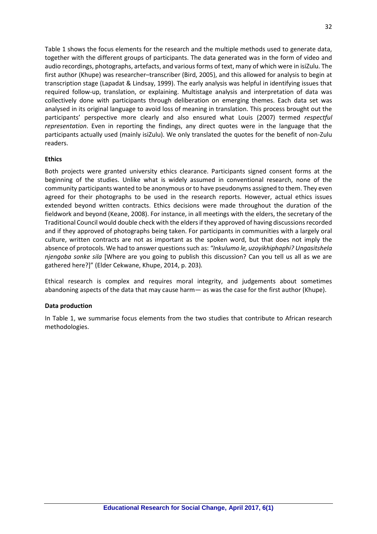Table 1 shows the focus elements for the research and the multiple methods used to generate data, together with the different groups of participants. The data generated was in the form of video and audio recordings, photographs, artefacts, and various forms of text, many of which were in isiZulu. The first author (Khupe) was researcher–transcriber (Bird, 2005), and this allowed for analysis to begin at transcription stage (Lapadat & Lindsay, 1999). The early analysis was helpful in identifying issues that required follow-up, translation, or explaining. Multistage analysis and interpretation of data was collectively done with participants through deliberation on emerging themes. Each data set was analysed in its original language to avoid loss of meaning in translation. This process brought out the participants' perspective more clearly and also ensured what Louis (2007) termed *respectful representation*. Even in reporting the findings, any direct quotes were in the language that the participants actually used (mainly isiZulu). We only translated the quotes for the benefit of non-Zulu readers.

#### **Ethics**

Both projects were granted university ethics clearance. Participants signed consent forms at the beginning of the studies. Unlike what is widely assumed in conventional research, none of the community participants wanted to be anonymous or to have pseudonyms assigned to them. They even agreed for their photographs to be used in the research reports. However, actual ethics issues extended beyond written contracts. Ethics decisions were made throughout the duration of the fieldwork and beyond (Keane, 2008). For instance, in all meetings with the elders, the secretary of the Traditional Council would double check with the elders if they approved of having discussions recorded and if they approved of photographs being taken. For participants in communities with a largely oral culture, written contracts are not as important as the spoken word, but that does not imply the absence of protocols. We had to answer questions such as: *"Inkulumo le, uzoyikhiphaphi? Ungasitshela njengoba sonke sila* [Where are you going to publish this discussion? Can you tell us all as we are gathered here?]" (Elder Cekwane, Khupe, 2014, p. 203)*.*

Ethical research is complex and requires moral integrity, and judgements about sometimes abandoning aspects of the data that may cause harm— as was the case for the first author (Khupe).

#### **Data production**

In Table 1, we summarise focus elements from the two studies that contribute to African research methodologies.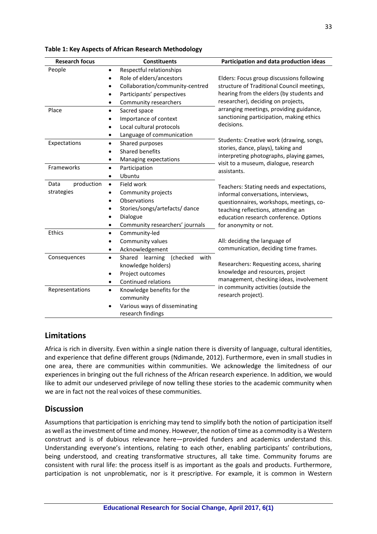| <b>Research focus</b> | <b>Constituents</b>                              | Participation and data production ideas                                        |
|-----------------------|--------------------------------------------------|--------------------------------------------------------------------------------|
| People                | Respectful relationships                         |                                                                                |
|                       | Role of elders/ancestors<br>$\bullet$            | Elders: Focus group discussions following                                      |
|                       | Collaboration/community-centred<br>$\bullet$     | structure of Traditional Council meetings,                                     |
|                       | Participants' perspectives                       | hearing from the elders (by students and                                       |
|                       | Community researchers<br>٠                       | researcher), deciding on projects,                                             |
| Place                 | Sacred space<br>$\bullet$                        | arranging meetings, providing guidance,                                        |
|                       | Importance of context<br>$\bullet$               | sanctioning participation, making ethics                                       |
|                       | Local cultural protocols                         | decisions.                                                                     |
|                       | Language of communication<br>$\bullet$           |                                                                                |
| Expectations          | Shared purposes<br>$\bullet$                     | Students: Creative work (drawing, songs,<br>stories, dance, plays), taking and |
|                       | Shared benefits                                  | interpreting photographs, playing games,                                       |
|                       | Managing expectations<br>$\bullet$               | visit to a museum, dialogue, research                                          |
| Frameworks            | Participation<br>$\bullet$                       | assistants.                                                                    |
|                       | Ubuntu<br>$\bullet$                              |                                                                                |
| production<br>Data    | Field work<br>$\bullet$                          | Teachers: Stating needs and expectations,                                      |
| strategies            | Community projects                               | informal conversations, interviews,                                            |
|                       | Observations                                     | questionnaires, workshops, meetings, co-                                       |
|                       | Stories/songs/artefacts/dance<br>٠               | teaching reflections, attending an                                             |
|                       | Dialogue<br>$\bullet$                            | education research conference. Options                                         |
|                       | Community researchers' journals<br>$\bullet$     | for anonymity or not.                                                          |
| Ethics                | Community-led<br>$\bullet$                       |                                                                                |
|                       | Community values<br>$\bullet$                    | All: deciding the language of                                                  |
|                       | Acknowledgement<br>$\bullet$                     | communication, deciding time frames.                                           |
| Consequences          | Shared learning<br>(checked<br>with<br>$\bullet$ |                                                                                |
|                       | knowledge holders)                               | Researchers: Requesting access, sharing                                        |
|                       | Project outcomes<br>٠                            | knowledge and resources, project<br>management, checking ideas, involvement    |
|                       | Continued relations<br>$\bullet$                 | in community activities (outside the                                           |
| Representations       | Knowledge benefits for the<br>$\bullet$          | research project).                                                             |
|                       | community                                        |                                                                                |
|                       | Various ways of disseminating                    |                                                                                |
|                       | research findings                                |                                                                                |

#### **Table 1: Key Aspects of African Research Methodology**

## **Limitations**

Africa is rich in diversity. Even within a single nation there is diversity of language, cultural identities, and experience that define different groups (Ndimande, 2012). Furthermore, even in small studies in one area, there are communities within communities. We acknowledge the limitedness of our experiences in bringing out the full richness of the African research experience. In addition, we would like to admit our undeserved privilege of now telling these stories to the academic community when we are in fact not the real voices of these communities.

### **Discussion**

Assumptions that participation is enriching may tend to simplify both the notion of participation itself as well as the investment of time and money. However, the notion of time as a commodity is a Western construct and is of dubious relevance here—provided funders and academics understand this. Understanding everyone's intentions, relating to each other, enabling participants' contributions, being understood, and creating transformative structures, all take time. Community forums are consistent with rural life: the process itself is as important as the goals and products. Furthermore, participation is not unproblematic, nor is it prescriptive. For example, it is common in Western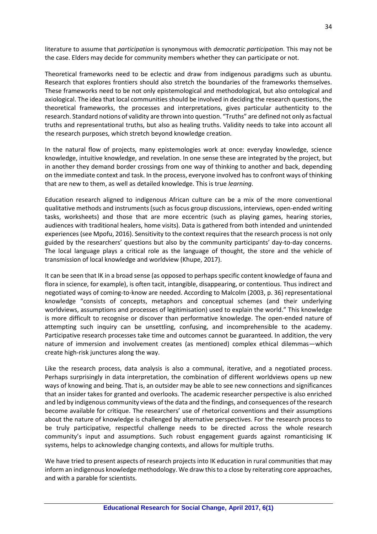literature to assume that *participation* is synonymous with *democratic participation*. This may not be the case. Elders may decide for community members whether they can participate or not.

Theoretical frameworks need to be eclectic and draw from indigenous paradigms such as ubuntu*.* Research that explores frontiers should also stretch the boundaries of the frameworks themselves. These frameworks need to be not only epistemological and methodological, but also ontological and axiological. The idea that local communities should be involved in deciding the research questions, the theoretical frameworks, the processes and interpretations, gives particular authenticity to the research. Standard notions of validity are thrown into question. "Truths" are defined not only as factual truths and representational truths, but also as healing truths. Validity needs to take into account all the research purposes, which stretch beyond knowledge creation.

In the natural flow of projects, many epistemologies work at once: everyday knowledge, science knowledge, intuitive knowledge, and revelation. In one sense these are integrated by the project, but in another they demand border crossings from one way of thinking to another and back, depending on the immediate context and task. In the process, everyone involved has to confront ways of thinking that are new to them, as well as detailed knowledge. This is true *learning*.

Education research aligned to indigenous African culture can be a mix of the more conventional qualitative methods and instruments (such as focus group discussions, interviews, open-ended writing tasks, worksheets) and those that are more eccentric (such as playing games, hearing stories, audiences with traditional healers, home visits). Data is gathered from both intended and unintended experiences (see Mpofu, 2016). Sensitivity to the context requires that the research process is not only guided by the researchers' questions but also by the community participants' day-to-day concerns. The local language plays a critical role as the language of thought, the store and the vehicle of transmission of local knowledge and worldview (Khupe, 2017).

It can be seen that IK in a broad sense (as opposed to perhaps specific content knowledge of fauna and flora in science, for example), is often tacit, intangible, disappearing, or contentious. Thus indirect and negotiated ways of coming-to-know are needed. According to Malcolm (2003, p. 36) representational knowledge "consists of concepts, metaphors and conceptual schemes (and their underlying worldviews, assumptions and processes of legitimisation) used to explain the world." This knowledge is more difficult to recognise or discover than performative knowledge. The open-ended nature of attempting such inquiry can be unsettling, confusing, and incomprehensible to the academy. Participative research processes take time and outcomes cannot be guaranteed. In addition, the very nature of immersion and involvement creates (as mentioned) complex ethical dilemmas—which create high-risk junctures along the way.

Like the research process, data analysis is also a communal, iterative, and a negotiated process. Perhaps surprisingly in data interpretation, the combination of different worldviews opens up new ways of knowing and being. That is, an outsider may be able to see new connections and significances that an insider takes for granted and overlooks. The academic researcher perspective is also enriched and led by indigenous community views of the data and the findings, and consequences of the research become available for critique. The researchers' use of rhetorical conventions and their assumptions about the nature of knowledge is challenged by alternative perspectives. For the research process to be truly participative, respectful challenge needs to be directed across the whole research community's input and assumptions. Such robust engagement guards against romanticising IK systems, helps to acknowledge changing contexts, and allows for multiple truths.

We have tried to present aspects of research projects into IK education in rural communities that may inform an indigenous knowledge methodology. We draw this to a close by reiterating core approaches, and with a parable for scientists.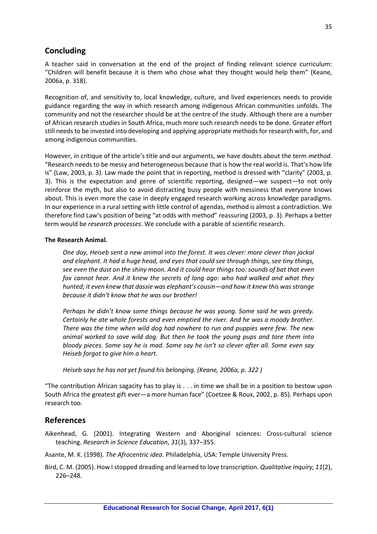## **Concluding**

A teacher said in conversation at the end of the project of finding relevant science curriculum: "Children will benefit because it is them who chose what they thought would help them" (Keane, 2006a, p. 318).

Recognition of, and sensitivity to, local knowledge, culture, and lived experiences needs to provide guidance regarding the way in which research among indigenous African communities unfolds. The community and not the researcher should be at the centre of the study. Although there are a number of African research studies in South Africa, much more such research needs to be done. Greater effort still needs to be invested into developing and applying appropriate methods for research with, for, and among indigenous communities.

However, in critique of the article's title and our arguments, we have doubts about the term *method*. "Research needs to be messy and heterogeneous because that is how the real world is. That's how life is" (Law, 2003, p. 3). Law made the point that in reporting, method is dressed with "clarity" (2003, p. 3). This is the expectation and genre of scientific reporting, designed—we suspect—to not only reinforce the myth, but also to avoid distracting busy people with messiness that everyone knows about. This is even more the case in deeply engaged research working across knowledge paradigms. In our experience in a rural setting with little control of agendas, method is almost a contradiction. We therefore find Law's position of being "at odds with method" reassuring (2003, p. 3). Perhaps a better term would be *research processes*. We conclude with a parable of scientific research.

#### **The Research Animal.**

*One day, Heiseb sent a new animal into the forest. It was clever: more clever than jackal and elephant. It had a huge head, and eyes that could see through things, see tiny things, see even the dust on the shiny moon. And it could hear things too: sounds of bat that even fox cannot hear. And it knew the secrets of long ago: who had walked and what they hunted; it even knew that dassie was elephant's cousin—and how it knew this was strange because it didn't know that he was our brother!* 

*Perhaps he didn't know some things because he was young. Some said he was greedy. Certainly he ate whole forests and even emptied the river. And he was a moody brother. There was the time when wild dog had nowhere to run and puppies were few. The new animal worked to save wild dog. But then he took the young pups and tore them into bloody pieces. Some say he is mad. Some say he isn't so clever after all. Some even say Heiseb forgot to give him a heart.*

*Heiseb says he has not yet found his belonging. (Keane, 2006a, p. 322 )*

"The contribution African sagacity has to play is . . . in time we shall be in a position to bestow upon South Africa the greatest gift ever—a more human face" (Coetzee & Roux, 2002, p. 85). Perhaps upon research too.

## **References**

- Aikenhead, G. (2001). Integrating Western and Aboriginal sciences: Cross-cultural science teaching. *Research in Science Education*, *31*(3), 337–355.
- Asante, M. K. (1998). *The Afrocentric idea*. Philadelphia, USA: Temple University Press.
- Bird, C. M. (2005). How I stopped dreading and learned to love transcription. *Qualitative Inquiry, 11*(2), 226–248.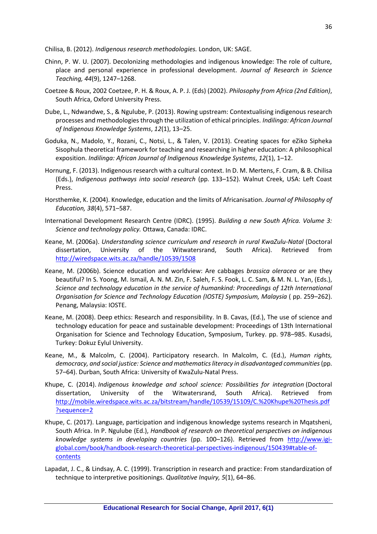Chilisa, B. (2012). *Indigenous research methodologies.* London, UK: SAGE.

- Chinn, P. W. U. (2007). Decolonizing methodologies and indigenous knowledge: The role of culture, place and personal experience in professional development. *Journal of Research in Science Teaching, 44*(9), 1247–1268.
- Coetzee & Roux, 2002 Coetzee, P. H. & Roux, A. P. J. (Eds) (2002). *Philosophy from Africa (2nd Edition)*, South Africa, Oxford University Press.
- Dube, L., Ndwandwe, S., & Ngulube, P. (2013). Rowing upstream: Contextualising indigenous research processes and methodologies through the utilization of ethical principles. *Indilinga: African Journal of Indigenous Knowledge Systems*, *12*(1), 13–25.
- Goduka, N., Madolo, Y., Rozani, C., Notsi, L., & Talen, V. (2013). Creating spaces for eZiko Sipheka Sisophula theoretical framework for teaching and researching in higher education: A philosophical exposition. *Indilinga: African Journal of Indigenous Knowledge Systems*, *12*(1), 1–12.
- Hornung, F. (2013). Indigenous research with a cultural context. In D. M. Mertens, F. Cram, & B. Chilisa (Eds.), *Indigenous pathways into social research* (pp. 133–152). Walnut Creek, USA: Left Coast Press.
- Horsthemke, K. (2004). Knowledge, education and the limits of Africanisation. *Journal of Philosophy of Education, 38*(4), 571–587.
- International Development Research Centre (IDRC). (1995). *Building a new South Africa. Volume 3: Science and technology policy.* Ottawa, Canada: IDRC.
- Keane, M. (2006a). *Understanding science curriculum and research in rural KwaZulu-Natal* (Doctoral dissertation, University of the Witwatersrand, South Africa). Retrieved from <http://wiredspace.wits.ac.za/handle/10539/1508>
- Keane, M. (2006b). Science education and worldview: Are cabbages *brassica oleracea* or are they beautiful? In S. Yoong, M. Ismail, A. N. M. Zin, F. Saleh, F. S. Fook, L. C. Sam, & M. N. L. Yan, (Eds.), *Science and technology education in the service of humankind: Proceedings of 12th International Organisation for Science and Technology Education (IOSTE) Symposium, Malaysia* ( pp. 259–262). Penang, Malaysia: IOSTE.
- Keane, M. (2008). Deep ethics: Research and responsibility. In B. Cavas, (Ed.), The use of science and technology education for peace and sustainable development: Proceedings of 13th International Organisation for Science and Technology Education, Symposium, Turkey. pp. 978–985. Kusadsi, Turkey: Dokuz Eylul University.
- Keane, M., & Malcolm, C. (2004). Participatory research. In Malcolm, C. (Ed.), *Human rights, democracy, and social justice: Science and mathematics literacy in disadvantaged communities*(pp. 57–64). Durban, South Africa: University of KwaZulu-Natal Press.
- Khupe, C. (2014). *Indigenous knowledge and school science: Possibilities for integration* (Doctoral dissertation, University of the Witwatersrand, South Africa). Retrieved from [http://mobile.wiredspace.wits.ac.za/bitstream/handle/10539/15109/C.%20Khupe%20Thesis.pdf](http://mobile.wiredspace.wits.ac.za/bitstream/handle/10539/15109/C.%20Khupe%20Thesis.pdf?sequence=2) [?sequence=2](http://mobile.wiredspace.wits.ac.za/bitstream/handle/10539/15109/C.%20Khupe%20Thesis.pdf?sequence=2)
- Khupe, C. (2017). Language, participation and indigenous knowledge systems research in Mqatsheni, South Africa. In P. Ngulube (Ed.), *Handbook of research on theoretical perspectives on indigenous knowledge systems in developing countries* (pp. 100–126). Retrieved from [http://www.igi](http://www.igi-global.com/book/handbook-research-theoretical-perspectives-indigenous/150439#table-of-contents)[global.com/book/handbook-research-theoretical-perspectives-indigenous/150439#table-of](http://www.igi-global.com/book/handbook-research-theoretical-perspectives-indigenous/150439#table-of-contents)**[contents](http://www.igi-global.com/book/handbook-research-theoretical-perspectives-indigenous/150439#table-of-contents)**
- Lapadat, J. C., & Lindsay, A. C. (1999). Transcription in research and practice: From standardization of technique to interpretive positionings. *Qualitative Inquiry, 5*(1), 64–86.